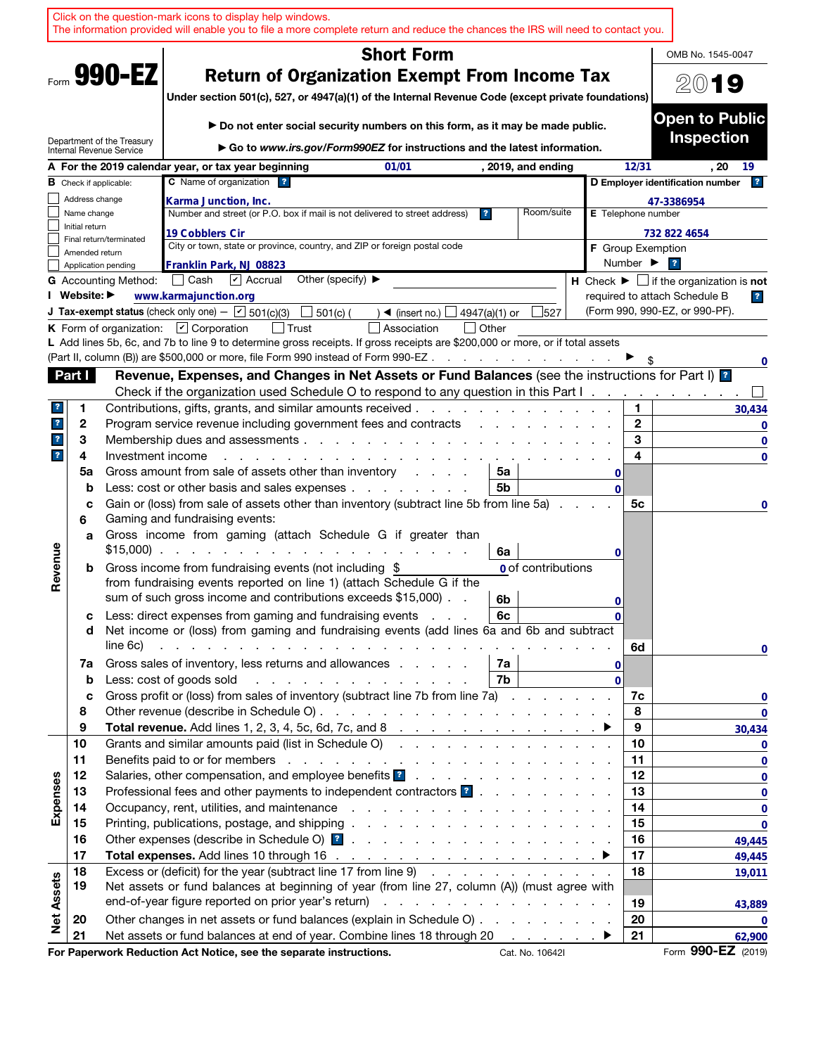|                         |                |                                                        | Click on the question-mark icons to display help windows.<br>The information provided will enable you to file a more complete return and reduce the chances the IRS will need to contact you.         |                         |    |                           |              |                              |                                                                               |
|-------------------------|----------------|--------------------------------------------------------|-------------------------------------------------------------------------------------------------------------------------------------------------------------------------------------------------------|-------------------------|----|---------------------------|--------------|------------------------------|-------------------------------------------------------------------------------|
|                         |                |                                                        | <b>Short Form</b>                                                                                                                                                                                     |                         |    |                           |              |                              | OMB No. 1545-0047                                                             |
|                         |                | Form 990-EZ                                            | <b>Return of Organization Exempt From Income Tax</b>                                                                                                                                                  |                         |    |                           |              |                              |                                                                               |
|                         |                |                                                        | Under section 501(c), 527, or 4947(a)(1) of the Internal Revenue Code (except private foundations)                                                                                                    |                         |    |                           |              |                              | 2019                                                                          |
|                         |                |                                                        |                                                                                                                                                                                                       |                         |    |                           |              |                              |                                                                               |
|                         |                |                                                        | ► Do not enter social security numbers on this form, as it may be made public.                                                                                                                        |                         |    |                           |              |                              | <b>Open to Public</b>                                                         |
|                         |                | Department of the Treasury<br>Internal Revenue Service | ► Go to www.irs.gov/Form990EZ for instructions and the latest information.                                                                                                                            |                         |    |                           |              |                              | <b>Inspection</b>                                                             |
|                         |                |                                                        | A For the 2019 calendar year, or tax year beginning<br>01/01                                                                                                                                          |                         |    | , 2019, and ending        |              | 12/31                        | . 20<br>19                                                                    |
|                         |                | <b>B</b> Check if applicable:                          | C Name of organization ?                                                                                                                                                                              |                         |    |                           |              |                              | D Employer identification number<br> 2                                        |
|                         | Address change |                                                        | Karma Junction, Inc.                                                                                                                                                                                  |                         |    |                           |              |                              | 47-3386954                                                                    |
|                         | Name change    |                                                        | Number and street (or P.O. box if mail is not delivered to street address)                                                                                                                            | $\overline{\mathbf{r}}$ |    | Room/suite                |              | E Telephone number           |                                                                               |
|                         | Initial return |                                                        | 19 Cobblers Cir                                                                                                                                                                                       |                         |    |                           |              |                              | 732 822 4654                                                                  |
|                         | Amended return | Final return/terminated                                | City or town, state or province, country, and ZIP or foreign postal code                                                                                                                              |                         |    |                           |              | <b>F</b> Group Exemption     |                                                                               |
|                         |                | Application pending                                    | Franklin Park, NJ 08823                                                                                                                                                                               |                         |    |                           |              | Number $\blacktriangleright$ | $\overline{\mathbf{r}}$                                                       |
|                         |                | <b>G</b> Accounting Method:                            | $\triangledown$ Accrual<br>Other (specify) $\blacktriangleright$<br>│ Cash                                                                                                                            |                         |    |                           |              |                              | <b>H</b> Check $\blacktriangleright$ $\Box$ if the organization is <b>not</b> |
|                         | I Website: ▶   |                                                        | www.karmajunction.org                                                                                                                                                                                 |                         |    |                           |              |                              | required to attach Schedule B<br>$\overline{\mathbf{r}}$                      |
|                         |                |                                                        | <b>J Tax-exempt status</b> (check only one) $ \boxed{\checkmark}$ 501(c)(3)<br>$\rfloor$ 501(c) (<br>$\blacktriangleleft$ (insert no.) $\Box$                                                         | 4947(a)(1) or           |    | 527                       |              |                              | (Form 990, 990-EZ, or 990-PF).                                                |
|                         |                |                                                        | K Form of organization: $\Box$ Corporation<br>│ Trust<br>Association<br>L Add lines 5b, 6c, and 7b to line 9 to determine gross receipts. If gross receipts are \$200,000 or more, or if total assets | l lOther                |    |                           |              |                              |                                                                               |
|                         |                |                                                        | (Part II, column (B)) are \$500,000 or more, file Form 990 instead of Form 990-EZ                                                                                                                     |                         |    |                           |              |                              | 0                                                                             |
|                         | Part I         |                                                        | Revenue, Expenses, and Changes in Net Assets or Fund Balances (see the instructions for Part I) <sup>1</sup>                                                                                          |                         |    |                           |              |                              |                                                                               |
|                         |                |                                                        | Check if the organization used Schedule O to respond to any question in this Part $1, 1, 2, 3, 4, 5, 6, 7, 8, 9$                                                                                      |                         |    |                           |              |                              |                                                                               |
| ?                       | 1              |                                                        | Contributions, gifts, grants, and similar amounts received.                                                                                                                                           |                         |    |                           |              | 1.                           | 30,434                                                                        |
| $\overline{\mathbf{r}}$ | $\mathbf{2}$   |                                                        | Program service revenue including government fees and contracts                                                                                                                                       |                         |    |                           |              | $\mathbf{2}$                 | 0                                                                             |
| $\overline{\mathbf{r}}$ | 3              |                                                        | Membership dues and assessments                                                                                                                                                                       |                         |    |                           |              | 3                            | 0                                                                             |
| $\overline{\mathbf{r}}$ | 4              | Investment income                                      |                                                                                                                                                                                                       |                         |    |                           |              | 4                            | $\mathbf 0$                                                                   |
|                         | 5a             |                                                        | Gross amount from sale of assets other than inventory<br>and a state                                                                                                                                  |                         | 5a |                           | 0            |                              |                                                                               |
|                         | b              |                                                        | Less: cost or other basis and sales expenses                                                                                                                                                          |                         | 5b |                           | $\Omega$     |                              |                                                                               |
|                         | c<br>6         |                                                        | Gain or (loss) from sale of assets other than inventory (subtract line 5b from line 5a).<br>Gaming and fundraising events:                                                                            |                         |    |                           |              | 5c                           | 0                                                                             |
|                         | a              |                                                        | Gross income from gaming (attach Schedule G if greater than                                                                                                                                           |                         |    |                           |              |                              |                                                                               |
|                         |                |                                                        | $$15,000$                                                                                                                                                                                             |                         | 6a |                           | 0            |                              |                                                                               |
| Revenue                 | b              |                                                        | Gross income from fundraising events (not including \$                                                                                                                                                |                         |    | <b>0</b> of contributions |              |                              |                                                                               |
|                         |                |                                                        | from fundraising events reported on line 1) (attach Schedule G if the                                                                                                                                 |                         |    |                           |              |                              |                                                                               |
|                         |                |                                                        | sum of such gross income and contributions exceeds \$15,000).                                                                                                                                         |                         | 6b |                           | 0            |                              |                                                                               |
|                         | с              |                                                        | Less: direct expenses from gaming and fundraising events                                                                                                                                              |                         | 6с |                           | $\mathbf{0}$ |                              |                                                                               |
|                         | d              | line 6c)                                               | Net income or (loss) from gaming and fundraising events (add lines 6a and 6b and subtract<br>the contract of the contract of the contract of the contract of the contract of                          |                         |    |                           |              | 6d                           |                                                                               |
|                         | 7a             |                                                        | Gross sales of inventory, less returns and allowances                                                                                                                                                 |                         | 7a |                           | 0            |                              | $\mathbf 0$                                                                   |
|                         | $\mathbf b$    |                                                        | Less: cost of goods sold                                                                                                                                                                              |                         | 7b |                           | $\Omega$     |                              |                                                                               |
|                         | c              |                                                        | Gross profit or (loss) from sales of inventory (subtract line 7b from line 7a)                                                                                                                        |                         |    |                           |              | 7c                           | 0                                                                             |
|                         | 8              |                                                        |                                                                                                                                                                                                       |                         |    |                           |              | 8                            | $\mathbf 0$                                                                   |
|                         | 9              |                                                        |                                                                                                                                                                                                       |                         |    |                           |              | 9                            | 30,434                                                                        |
|                         | 10             |                                                        | Grants and similar amounts paid (list in Schedule O)                                                                                                                                                  |                         |    |                           |              | 10                           | 0                                                                             |
|                         | 11             |                                                        |                                                                                                                                                                                                       |                         |    |                           |              | 11                           | 0                                                                             |
|                         | 12             |                                                        |                                                                                                                                                                                                       |                         |    |                           |              | 12                           | 0                                                                             |
|                         | 13             |                                                        | Professional fees and other payments to independent contractors ?                                                                                                                                     |                         |    |                           |              | 13<br>14                     | 0                                                                             |
| Expenses                | 14<br>15       |                                                        |                                                                                                                                                                                                       |                         |    |                           |              | 15                           | 0<br>0                                                                        |
|                         | 16             |                                                        |                                                                                                                                                                                                       |                         |    |                           |              | 16                           | 49,445                                                                        |
|                         | 17             |                                                        |                                                                                                                                                                                                       |                         |    |                           |              | 17                           | 49,445                                                                        |
|                         | 18             |                                                        | Excess or (deficit) for the year (subtract line 17 from line 9)                                                                                                                                       |                         |    |                           |              | 18                           | 19,011                                                                        |
| <b>Net Assets</b>       | 19             |                                                        | Net assets or fund balances at beginning of year (from line 27, column (A)) (must agree with                                                                                                          |                         |    |                           |              |                              |                                                                               |
|                         |                |                                                        | end-of-year figure reported on prior year's return)                                                                                                                                                   |                         |    |                           |              | 19                           | 43,889                                                                        |
|                         | 20             |                                                        | Other changes in net assets or fund balances (explain in Schedule O)                                                                                                                                  |                         |    |                           |              | 20                           | 0                                                                             |
|                         | 21             |                                                        | Net assets or fund balances at end of year. Combine lines 18 through 20                                                                                                                               |                         |    |                           |              | 21                           | 62,900                                                                        |
|                         |                |                                                        | For Paperwork Reduction Act Notice, see the separate instructions.                                                                                                                                    |                         |    | Cat. No. 10642I           |              |                              | Form 990-EZ (2019)                                                            |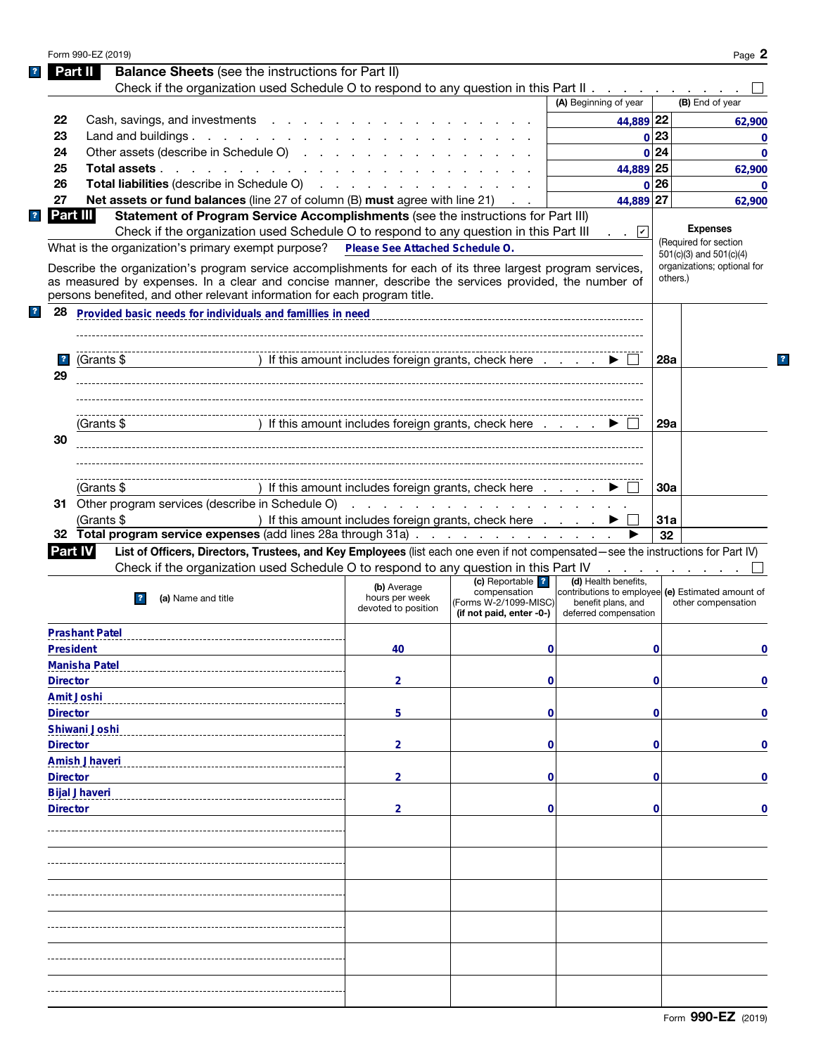| <b>Balance Sheets</b> (see the instructions for Part II)<br>Part II<br>Check if the organization used Schedule O to respond to any question in this Part II $\ldots$<br>(A) Beginning of year<br>(B) End of year<br>Cash, savings, and investments<br>44,889 22<br>22<br>62,900<br>Land and buildings.<br>0 23<br>23<br>Other assets (describe in Schedule O)<br>0 24<br>24<br>44,889 25<br>25<br>Total assets<br>62,900<br>Total liabilities (describe in Schedule O)<br>0 26<br>26<br>$\mathbf{0}$<br>27<br>44,889 27<br>Net assets or fund balances (line 27 of column (B) must agree with line 21) .<br>62,900<br>Part III<br>Statement of Program Service Accomplishments (see the instructions for Part III)<br>$\overline{\mathbf{r}}$<br><b>Expenses</b><br>Check if the organization used Schedule O to respond to any question in this Part III<br>. .   v <br>(Required for section<br>What is the organization's primary exempt purpose?<br>Please See Attached Schedule O.<br>$501(c)(3)$ and $501(c)(4)$<br>organizations; optional for<br>Describe the organization's program service accomplishments for each of its three largest program services,<br>others.)<br>as measured by expenses. In a clear and concise manner, describe the services provided, the number of<br>persons benefited, and other relevant information for each program title.<br>Provided basic needs for individuals and famillies in need<br>28<br>) If this amount includes foreign grants, check here<br>$\overline{\mathbf{r}}$<br>(Grants \$<br><b>28a</b><br>29<br>) If this amount includes foreign grants, check here<br>29a<br>(Grants \$<br>30<br>) If this amount includes foreign grants, check here<br>(Grants \$<br>30a<br>31 Other program services (describe in Schedule O)<br>.<br>) If this amount includes foreign grants, check here<br>(Grants \$<br>31a<br>32 Total program service expenses (add lines 28a through 31a)<br>32<br>List of Officers, Directors, Trustees, and Key Employees (list each one even if not compensated-see the instructions for Part IV)<br><b>Part IV</b><br>Check if the organization used Schedule O to respond to any question in this Part IV<br>.<br>(c) Reportable ?<br>(d) Health benefits,<br>(b) Average<br>compensation<br>contributions to employee (e) Estimated amount of<br>hours per week<br>(a) Name and title<br>$\overline{ }$<br>(Forms W-2/1099-MISC)<br>benefit plans, and<br>other compensation<br>devoted to position<br>(if not paid, enter -0-)<br>deferred compensation<br><b>Prashant Patel</b><br><b>President</b><br>40<br>$\mathbf 0$<br>0<br>0<br><b>Manisha Patel</b><br><b>Director</b><br>$\overline{2}$<br>$\mathbf 0$<br>$\bf{0}$<br><b>Amit Joshi</b><br><b>Director</b><br>5<br>$\mathbf 0$<br>0<br>Shiwani Joshi<br><b>Director</b><br>$\overline{2}$<br>$\mathbf 0$<br>0<br><b>Amish Jhaveri</b><br><b>Director</b><br>$\overline{2}$<br>$\mathbf 0$<br>0<br><b>Bijal Jhaveri</b><br>$\overline{2}$<br>$\mathbf 0$<br>$\mathbf 0$<br><b>Director</b><br>$\bf{0}$ |                         | Form 990-EZ (2019) |  |  | Page 2       |
|------------------------------------------------------------------------------------------------------------------------------------------------------------------------------------------------------------------------------------------------------------------------------------------------------------------------------------------------------------------------------------------------------------------------------------------------------------------------------------------------------------------------------------------------------------------------------------------------------------------------------------------------------------------------------------------------------------------------------------------------------------------------------------------------------------------------------------------------------------------------------------------------------------------------------------------------------------------------------------------------------------------------------------------------------------------------------------------------------------------------------------------------------------------------------------------------------------------------------------------------------------------------------------------------------------------------------------------------------------------------------------------------------------------------------------------------------------------------------------------------------------------------------------------------------------------------------------------------------------------------------------------------------------------------------------------------------------------------------------------------------------------------------------------------------------------------------------------------------------------------------------------------------------------------------------------------------------------------------------------------------------------------------------------------------------------------------------------------------------------------------------------------------------------------------------------------------------------------------------------------------------------------------------------------------------------------------------------------------------------------------------------------------------------------------------------------------------------------------------------------------------------------------------------------------------------------------------------------------------------------------------------------------------------------------------------------------------------------------------------------------------------------------------------------------------------------------------------------------------------------------------------------------------------------------------------------------------------------------------------------------------------------------------------------------|-------------------------|--------------------|--|--|--------------|
|                                                                                                                                                                                                                                                                                                                                                                                                                                                                                                                                                                                                                                                                                                                                                                                                                                                                                                                                                                                                                                                                                                                                                                                                                                                                                                                                                                                                                                                                                                                                                                                                                                                                                                                                                                                                                                                                                                                                                                                                                                                                                                                                                                                                                                                                                                                                                                                                                                                                                                                                                                                                                                                                                                                                                                                                                                                                                                                                                                                                                                                      |                         |                    |  |  |              |
|                                                                                                                                                                                                                                                                                                                                                                                                                                                                                                                                                                                                                                                                                                                                                                                                                                                                                                                                                                                                                                                                                                                                                                                                                                                                                                                                                                                                                                                                                                                                                                                                                                                                                                                                                                                                                                                                                                                                                                                                                                                                                                                                                                                                                                                                                                                                                                                                                                                                                                                                                                                                                                                                                                                                                                                                                                                                                                                                                                                                                                                      |                         |                    |  |  |              |
|                                                                                                                                                                                                                                                                                                                                                                                                                                                                                                                                                                                                                                                                                                                                                                                                                                                                                                                                                                                                                                                                                                                                                                                                                                                                                                                                                                                                                                                                                                                                                                                                                                                                                                                                                                                                                                                                                                                                                                                                                                                                                                                                                                                                                                                                                                                                                                                                                                                                                                                                                                                                                                                                                                                                                                                                                                                                                                                                                                                                                                                      |                         |                    |  |  |              |
|                                                                                                                                                                                                                                                                                                                                                                                                                                                                                                                                                                                                                                                                                                                                                                                                                                                                                                                                                                                                                                                                                                                                                                                                                                                                                                                                                                                                                                                                                                                                                                                                                                                                                                                                                                                                                                                                                                                                                                                                                                                                                                                                                                                                                                                                                                                                                                                                                                                                                                                                                                                                                                                                                                                                                                                                                                                                                                                                                                                                                                                      |                         |                    |  |  |              |
|                                                                                                                                                                                                                                                                                                                                                                                                                                                                                                                                                                                                                                                                                                                                                                                                                                                                                                                                                                                                                                                                                                                                                                                                                                                                                                                                                                                                                                                                                                                                                                                                                                                                                                                                                                                                                                                                                                                                                                                                                                                                                                                                                                                                                                                                                                                                                                                                                                                                                                                                                                                                                                                                                                                                                                                                                                                                                                                                                                                                                                                      |                         |                    |  |  | $\mathbf 0$  |
|                                                                                                                                                                                                                                                                                                                                                                                                                                                                                                                                                                                                                                                                                                                                                                                                                                                                                                                                                                                                                                                                                                                                                                                                                                                                                                                                                                                                                                                                                                                                                                                                                                                                                                                                                                                                                                                                                                                                                                                                                                                                                                                                                                                                                                                                                                                                                                                                                                                                                                                                                                                                                                                                                                                                                                                                                                                                                                                                                                                                                                                      |                         |                    |  |  | $\mathbf{0}$ |
|                                                                                                                                                                                                                                                                                                                                                                                                                                                                                                                                                                                                                                                                                                                                                                                                                                                                                                                                                                                                                                                                                                                                                                                                                                                                                                                                                                                                                                                                                                                                                                                                                                                                                                                                                                                                                                                                                                                                                                                                                                                                                                                                                                                                                                                                                                                                                                                                                                                                                                                                                                                                                                                                                                                                                                                                                                                                                                                                                                                                                                                      |                         |                    |  |  |              |
|                                                                                                                                                                                                                                                                                                                                                                                                                                                                                                                                                                                                                                                                                                                                                                                                                                                                                                                                                                                                                                                                                                                                                                                                                                                                                                                                                                                                                                                                                                                                                                                                                                                                                                                                                                                                                                                                                                                                                                                                                                                                                                                                                                                                                                                                                                                                                                                                                                                                                                                                                                                                                                                                                                                                                                                                                                                                                                                                                                                                                                                      |                         |                    |  |  |              |
|                                                                                                                                                                                                                                                                                                                                                                                                                                                                                                                                                                                                                                                                                                                                                                                                                                                                                                                                                                                                                                                                                                                                                                                                                                                                                                                                                                                                                                                                                                                                                                                                                                                                                                                                                                                                                                                                                                                                                                                                                                                                                                                                                                                                                                                                                                                                                                                                                                                                                                                                                                                                                                                                                                                                                                                                                                                                                                                                                                                                                                                      |                         |                    |  |  |              |
|                                                                                                                                                                                                                                                                                                                                                                                                                                                                                                                                                                                                                                                                                                                                                                                                                                                                                                                                                                                                                                                                                                                                                                                                                                                                                                                                                                                                                                                                                                                                                                                                                                                                                                                                                                                                                                                                                                                                                                                                                                                                                                                                                                                                                                                                                                                                                                                                                                                                                                                                                                                                                                                                                                                                                                                                                                                                                                                                                                                                                                                      |                         |                    |  |  |              |
|                                                                                                                                                                                                                                                                                                                                                                                                                                                                                                                                                                                                                                                                                                                                                                                                                                                                                                                                                                                                                                                                                                                                                                                                                                                                                                                                                                                                                                                                                                                                                                                                                                                                                                                                                                                                                                                                                                                                                                                                                                                                                                                                                                                                                                                                                                                                                                                                                                                                                                                                                                                                                                                                                                                                                                                                                                                                                                                                                                                                                                                      |                         |                    |  |  |              |
|                                                                                                                                                                                                                                                                                                                                                                                                                                                                                                                                                                                                                                                                                                                                                                                                                                                                                                                                                                                                                                                                                                                                                                                                                                                                                                                                                                                                                                                                                                                                                                                                                                                                                                                                                                                                                                                                                                                                                                                                                                                                                                                                                                                                                                                                                                                                                                                                                                                                                                                                                                                                                                                                                                                                                                                                                                                                                                                                                                                                                                                      |                         |                    |  |  |              |
|                                                                                                                                                                                                                                                                                                                                                                                                                                                                                                                                                                                                                                                                                                                                                                                                                                                                                                                                                                                                                                                                                                                                                                                                                                                                                                                                                                                                                                                                                                                                                                                                                                                                                                                                                                                                                                                                                                                                                                                                                                                                                                                                                                                                                                                                                                                                                                                                                                                                                                                                                                                                                                                                                                                                                                                                                                                                                                                                                                                                                                                      |                         |                    |  |  |              |
|                                                                                                                                                                                                                                                                                                                                                                                                                                                                                                                                                                                                                                                                                                                                                                                                                                                                                                                                                                                                                                                                                                                                                                                                                                                                                                                                                                                                                                                                                                                                                                                                                                                                                                                                                                                                                                                                                                                                                                                                                                                                                                                                                                                                                                                                                                                                                                                                                                                                                                                                                                                                                                                                                                                                                                                                                                                                                                                                                                                                                                                      |                         |                    |  |  |              |
|                                                                                                                                                                                                                                                                                                                                                                                                                                                                                                                                                                                                                                                                                                                                                                                                                                                                                                                                                                                                                                                                                                                                                                                                                                                                                                                                                                                                                                                                                                                                                                                                                                                                                                                                                                                                                                                                                                                                                                                                                                                                                                                                                                                                                                                                                                                                                                                                                                                                                                                                                                                                                                                                                                                                                                                                                                                                                                                                                                                                                                                      |                         |                    |  |  |              |
|                                                                                                                                                                                                                                                                                                                                                                                                                                                                                                                                                                                                                                                                                                                                                                                                                                                                                                                                                                                                                                                                                                                                                                                                                                                                                                                                                                                                                                                                                                                                                                                                                                                                                                                                                                                                                                                                                                                                                                                                                                                                                                                                                                                                                                                                                                                                                                                                                                                                                                                                                                                                                                                                                                                                                                                                                                                                                                                                                                                                                                                      |                         |                    |  |  |              |
|                                                                                                                                                                                                                                                                                                                                                                                                                                                                                                                                                                                                                                                                                                                                                                                                                                                                                                                                                                                                                                                                                                                                                                                                                                                                                                                                                                                                                                                                                                                                                                                                                                                                                                                                                                                                                                                                                                                                                                                                                                                                                                                                                                                                                                                                                                                                                                                                                                                                                                                                                                                                                                                                                                                                                                                                                                                                                                                                                                                                                                                      | $\overline{\mathbf{r}}$ |                    |  |  |              |
|                                                                                                                                                                                                                                                                                                                                                                                                                                                                                                                                                                                                                                                                                                                                                                                                                                                                                                                                                                                                                                                                                                                                                                                                                                                                                                                                                                                                                                                                                                                                                                                                                                                                                                                                                                                                                                                                                                                                                                                                                                                                                                                                                                                                                                                                                                                                                                                                                                                                                                                                                                                                                                                                                                                                                                                                                                                                                                                                                                                                                                                      |                         |                    |  |  |              |
|                                                                                                                                                                                                                                                                                                                                                                                                                                                                                                                                                                                                                                                                                                                                                                                                                                                                                                                                                                                                                                                                                                                                                                                                                                                                                                                                                                                                                                                                                                                                                                                                                                                                                                                                                                                                                                                                                                                                                                                                                                                                                                                                                                                                                                                                                                                                                                                                                                                                                                                                                                                                                                                                                                                                                                                                                                                                                                                                                                                                                                                      |                         |                    |  |  |              |
|                                                                                                                                                                                                                                                                                                                                                                                                                                                                                                                                                                                                                                                                                                                                                                                                                                                                                                                                                                                                                                                                                                                                                                                                                                                                                                                                                                                                                                                                                                                                                                                                                                                                                                                                                                                                                                                                                                                                                                                                                                                                                                                                                                                                                                                                                                                                                                                                                                                                                                                                                                                                                                                                                                                                                                                                                                                                                                                                                                                                                                                      |                         |                    |  |  |              |
|                                                                                                                                                                                                                                                                                                                                                                                                                                                                                                                                                                                                                                                                                                                                                                                                                                                                                                                                                                                                                                                                                                                                                                                                                                                                                                                                                                                                                                                                                                                                                                                                                                                                                                                                                                                                                                                                                                                                                                                                                                                                                                                                                                                                                                                                                                                                                                                                                                                                                                                                                                                                                                                                                                                                                                                                                                                                                                                                                                                                                                                      |                         |                    |  |  |              |
|                                                                                                                                                                                                                                                                                                                                                                                                                                                                                                                                                                                                                                                                                                                                                                                                                                                                                                                                                                                                                                                                                                                                                                                                                                                                                                                                                                                                                                                                                                                                                                                                                                                                                                                                                                                                                                                                                                                                                                                                                                                                                                                                                                                                                                                                                                                                                                                                                                                                                                                                                                                                                                                                                                                                                                                                                                                                                                                                                                                                                                                      |                         |                    |  |  |              |
|                                                                                                                                                                                                                                                                                                                                                                                                                                                                                                                                                                                                                                                                                                                                                                                                                                                                                                                                                                                                                                                                                                                                                                                                                                                                                                                                                                                                                                                                                                                                                                                                                                                                                                                                                                                                                                                                                                                                                                                                                                                                                                                                                                                                                                                                                                                                                                                                                                                                                                                                                                                                                                                                                                                                                                                                                                                                                                                                                                                                                                                      |                         |                    |  |  |              |
|                                                                                                                                                                                                                                                                                                                                                                                                                                                                                                                                                                                                                                                                                                                                                                                                                                                                                                                                                                                                                                                                                                                                                                                                                                                                                                                                                                                                                                                                                                                                                                                                                                                                                                                                                                                                                                                                                                                                                                                                                                                                                                                                                                                                                                                                                                                                                                                                                                                                                                                                                                                                                                                                                                                                                                                                                                                                                                                                                                                                                                                      |                         |                    |  |  |              |
|                                                                                                                                                                                                                                                                                                                                                                                                                                                                                                                                                                                                                                                                                                                                                                                                                                                                                                                                                                                                                                                                                                                                                                                                                                                                                                                                                                                                                                                                                                                                                                                                                                                                                                                                                                                                                                                                                                                                                                                                                                                                                                                                                                                                                                                                                                                                                                                                                                                                                                                                                                                                                                                                                                                                                                                                                                                                                                                                                                                                                                                      |                         |                    |  |  |              |
|                                                                                                                                                                                                                                                                                                                                                                                                                                                                                                                                                                                                                                                                                                                                                                                                                                                                                                                                                                                                                                                                                                                                                                                                                                                                                                                                                                                                                                                                                                                                                                                                                                                                                                                                                                                                                                                                                                                                                                                                                                                                                                                                                                                                                                                                                                                                                                                                                                                                                                                                                                                                                                                                                                                                                                                                                                                                                                                                                                                                                                                      |                         |                    |  |  |              |
|                                                                                                                                                                                                                                                                                                                                                                                                                                                                                                                                                                                                                                                                                                                                                                                                                                                                                                                                                                                                                                                                                                                                                                                                                                                                                                                                                                                                                                                                                                                                                                                                                                                                                                                                                                                                                                                                                                                                                                                                                                                                                                                                                                                                                                                                                                                                                                                                                                                                                                                                                                                                                                                                                                                                                                                                                                                                                                                                                                                                                                                      |                         |                    |  |  |              |
|                                                                                                                                                                                                                                                                                                                                                                                                                                                                                                                                                                                                                                                                                                                                                                                                                                                                                                                                                                                                                                                                                                                                                                                                                                                                                                                                                                                                                                                                                                                                                                                                                                                                                                                                                                                                                                                                                                                                                                                                                                                                                                                                                                                                                                                                                                                                                                                                                                                                                                                                                                                                                                                                                                                                                                                                                                                                                                                                                                                                                                                      |                         |                    |  |  |              |
|                                                                                                                                                                                                                                                                                                                                                                                                                                                                                                                                                                                                                                                                                                                                                                                                                                                                                                                                                                                                                                                                                                                                                                                                                                                                                                                                                                                                                                                                                                                                                                                                                                                                                                                                                                                                                                                                                                                                                                                                                                                                                                                                                                                                                                                                                                                                                                                                                                                                                                                                                                                                                                                                                                                                                                                                                                                                                                                                                                                                                                                      |                         |                    |  |  |              |
|                                                                                                                                                                                                                                                                                                                                                                                                                                                                                                                                                                                                                                                                                                                                                                                                                                                                                                                                                                                                                                                                                                                                                                                                                                                                                                                                                                                                                                                                                                                                                                                                                                                                                                                                                                                                                                                                                                                                                                                                                                                                                                                                                                                                                                                                                                                                                                                                                                                                                                                                                                                                                                                                                                                                                                                                                                                                                                                                                                                                                                                      |                         |                    |  |  |              |
|                                                                                                                                                                                                                                                                                                                                                                                                                                                                                                                                                                                                                                                                                                                                                                                                                                                                                                                                                                                                                                                                                                                                                                                                                                                                                                                                                                                                                                                                                                                                                                                                                                                                                                                                                                                                                                                                                                                                                                                                                                                                                                                                                                                                                                                                                                                                                                                                                                                                                                                                                                                                                                                                                                                                                                                                                                                                                                                                                                                                                                                      |                         |                    |  |  |              |
|                                                                                                                                                                                                                                                                                                                                                                                                                                                                                                                                                                                                                                                                                                                                                                                                                                                                                                                                                                                                                                                                                                                                                                                                                                                                                                                                                                                                                                                                                                                                                                                                                                                                                                                                                                                                                                                                                                                                                                                                                                                                                                                                                                                                                                                                                                                                                                                                                                                                                                                                                                                                                                                                                                                                                                                                                                                                                                                                                                                                                                                      |                         |                    |  |  |              |
|                                                                                                                                                                                                                                                                                                                                                                                                                                                                                                                                                                                                                                                                                                                                                                                                                                                                                                                                                                                                                                                                                                                                                                                                                                                                                                                                                                                                                                                                                                                                                                                                                                                                                                                                                                                                                                                                                                                                                                                                                                                                                                                                                                                                                                                                                                                                                                                                                                                                                                                                                                                                                                                                                                                                                                                                                                                                                                                                                                                                                                                      |                         |                    |  |  |              |
|                                                                                                                                                                                                                                                                                                                                                                                                                                                                                                                                                                                                                                                                                                                                                                                                                                                                                                                                                                                                                                                                                                                                                                                                                                                                                                                                                                                                                                                                                                                                                                                                                                                                                                                                                                                                                                                                                                                                                                                                                                                                                                                                                                                                                                                                                                                                                                                                                                                                                                                                                                                                                                                                                                                                                                                                                                                                                                                                                                                                                                                      |                         |                    |  |  |              |
|                                                                                                                                                                                                                                                                                                                                                                                                                                                                                                                                                                                                                                                                                                                                                                                                                                                                                                                                                                                                                                                                                                                                                                                                                                                                                                                                                                                                                                                                                                                                                                                                                                                                                                                                                                                                                                                                                                                                                                                                                                                                                                                                                                                                                                                                                                                                                                                                                                                                                                                                                                                                                                                                                                                                                                                                                                                                                                                                                                                                                                                      |                         |                    |  |  |              |
|                                                                                                                                                                                                                                                                                                                                                                                                                                                                                                                                                                                                                                                                                                                                                                                                                                                                                                                                                                                                                                                                                                                                                                                                                                                                                                                                                                                                                                                                                                                                                                                                                                                                                                                                                                                                                                                                                                                                                                                                                                                                                                                                                                                                                                                                                                                                                                                                                                                                                                                                                                                                                                                                                                                                                                                                                                                                                                                                                                                                                                                      |                         |                    |  |  |              |
|                                                                                                                                                                                                                                                                                                                                                                                                                                                                                                                                                                                                                                                                                                                                                                                                                                                                                                                                                                                                                                                                                                                                                                                                                                                                                                                                                                                                                                                                                                                                                                                                                                                                                                                                                                                                                                                                                                                                                                                                                                                                                                                                                                                                                                                                                                                                                                                                                                                                                                                                                                                                                                                                                                                                                                                                                                                                                                                                                                                                                                                      |                         |                    |  |  |              |
|                                                                                                                                                                                                                                                                                                                                                                                                                                                                                                                                                                                                                                                                                                                                                                                                                                                                                                                                                                                                                                                                                                                                                                                                                                                                                                                                                                                                                                                                                                                                                                                                                                                                                                                                                                                                                                                                                                                                                                                                                                                                                                                                                                                                                                                                                                                                                                                                                                                                                                                                                                                                                                                                                                                                                                                                                                                                                                                                                                                                                                                      |                         |                    |  |  |              |
|                                                                                                                                                                                                                                                                                                                                                                                                                                                                                                                                                                                                                                                                                                                                                                                                                                                                                                                                                                                                                                                                                                                                                                                                                                                                                                                                                                                                                                                                                                                                                                                                                                                                                                                                                                                                                                                                                                                                                                                                                                                                                                                                                                                                                                                                                                                                                                                                                                                                                                                                                                                                                                                                                                                                                                                                                                                                                                                                                                                                                                                      |                         |                    |  |  |              |
|                                                                                                                                                                                                                                                                                                                                                                                                                                                                                                                                                                                                                                                                                                                                                                                                                                                                                                                                                                                                                                                                                                                                                                                                                                                                                                                                                                                                                                                                                                                                                                                                                                                                                                                                                                                                                                                                                                                                                                                                                                                                                                                                                                                                                                                                                                                                                                                                                                                                                                                                                                                                                                                                                                                                                                                                                                                                                                                                                                                                                                                      |                         |                    |  |  |              |
|                                                                                                                                                                                                                                                                                                                                                                                                                                                                                                                                                                                                                                                                                                                                                                                                                                                                                                                                                                                                                                                                                                                                                                                                                                                                                                                                                                                                                                                                                                                                                                                                                                                                                                                                                                                                                                                                                                                                                                                                                                                                                                                                                                                                                                                                                                                                                                                                                                                                                                                                                                                                                                                                                                                                                                                                                                                                                                                                                                                                                                                      |                         |                    |  |  |              |
|                                                                                                                                                                                                                                                                                                                                                                                                                                                                                                                                                                                                                                                                                                                                                                                                                                                                                                                                                                                                                                                                                                                                                                                                                                                                                                                                                                                                                                                                                                                                                                                                                                                                                                                                                                                                                                                                                                                                                                                                                                                                                                                                                                                                                                                                                                                                                                                                                                                                                                                                                                                                                                                                                                                                                                                                                                                                                                                                                                                                                                                      |                         |                    |  |  |              |
|                                                                                                                                                                                                                                                                                                                                                                                                                                                                                                                                                                                                                                                                                                                                                                                                                                                                                                                                                                                                                                                                                                                                                                                                                                                                                                                                                                                                                                                                                                                                                                                                                                                                                                                                                                                                                                                                                                                                                                                                                                                                                                                                                                                                                                                                                                                                                                                                                                                                                                                                                                                                                                                                                                                                                                                                                                                                                                                                                                                                                                                      |                         |                    |  |  | $\mathbf 0$  |
|                                                                                                                                                                                                                                                                                                                                                                                                                                                                                                                                                                                                                                                                                                                                                                                                                                                                                                                                                                                                                                                                                                                                                                                                                                                                                                                                                                                                                                                                                                                                                                                                                                                                                                                                                                                                                                                                                                                                                                                                                                                                                                                                                                                                                                                                                                                                                                                                                                                                                                                                                                                                                                                                                                                                                                                                                                                                                                                                                                                                                                                      |                         |                    |  |  |              |
|                                                                                                                                                                                                                                                                                                                                                                                                                                                                                                                                                                                                                                                                                                                                                                                                                                                                                                                                                                                                                                                                                                                                                                                                                                                                                                                                                                                                                                                                                                                                                                                                                                                                                                                                                                                                                                                                                                                                                                                                                                                                                                                                                                                                                                                                                                                                                                                                                                                                                                                                                                                                                                                                                                                                                                                                                                                                                                                                                                                                                                                      |                         |                    |  |  | $\mathbf 0$  |
|                                                                                                                                                                                                                                                                                                                                                                                                                                                                                                                                                                                                                                                                                                                                                                                                                                                                                                                                                                                                                                                                                                                                                                                                                                                                                                                                                                                                                                                                                                                                                                                                                                                                                                                                                                                                                                                                                                                                                                                                                                                                                                                                                                                                                                                                                                                                                                                                                                                                                                                                                                                                                                                                                                                                                                                                                                                                                                                                                                                                                                                      |                         |                    |  |  |              |
|                                                                                                                                                                                                                                                                                                                                                                                                                                                                                                                                                                                                                                                                                                                                                                                                                                                                                                                                                                                                                                                                                                                                                                                                                                                                                                                                                                                                                                                                                                                                                                                                                                                                                                                                                                                                                                                                                                                                                                                                                                                                                                                                                                                                                                                                                                                                                                                                                                                                                                                                                                                                                                                                                                                                                                                                                                                                                                                                                                                                                                                      |                         |                    |  |  | $\mathbf 0$  |
|                                                                                                                                                                                                                                                                                                                                                                                                                                                                                                                                                                                                                                                                                                                                                                                                                                                                                                                                                                                                                                                                                                                                                                                                                                                                                                                                                                                                                                                                                                                                                                                                                                                                                                                                                                                                                                                                                                                                                                                                                                                                                                                                                                                                                                                                                                                                                                                                                                                                                                                                                                                                                                                                                                                                                                                                                                                                                                                                                                                                                                                      |                         |                    |  |  |              |
|                                                                                                                                                                                                                                                                                                                                                                                                                                                                                                                                                                                                                                                                                                                                                                                                                                                                                                                                                                                                                                                                                                                                                                                                                                                                                                                                                                                                                                                                                                                                                                                                                                                                                                                                                                                                                                                                                                                                                                                                                                                                                                                                                                                                                                                                                                                                                                                                                                                                                                                                                                                                                                                                                                                                                                                                                                                                                                                                                                                                                                                      |                         |                    |  |  | $\mathbf 0$  |
|                                                                                                                                                                                                                                                                                                                                                                                                                                                                                                                                                                                                                                                                                                                                                                                                                                                                                                                                                                                                                                                                                                                                                                                                                                                                                                                                                                                                                                                                                                                                                                                                                                                                                                                                                                                                                                                                                                                                                                                                                                                                                                                                                                                                                                                                                                                                                                                                                                                                                                                                                                                                                                                                                                                                                                                                                                                                                                                                                                                                                                                      |                         |                    |  |  |              |
|                                                                                                                                                                                                                                                                                                                                                                                                                                                                                                                                                                                                                                                                                                                                                                                                                                                                                                                                                                                                                                                                                                                                                                                                                                                                                                                                                                                                                                                                                                                                                                                                                                                                                                                                                                                                                                                                                                                                                                                                                                                                                                                                                                                                                                                                                                                                                                                                                                                                                                                                                                                                                                                                                                                                                                                                                                                                                                                                                                                                                                                      |                         |                    |  |  |              |
|                                                                                                                                                                                                                                                                                                                                                                                                                                                                                                                                                                                                                                                                                                                                                                                                                                                                                                                                                                                                                                                                                                                                                                                                                                                                                                                                                                                                                                                                                                                                                                                                                                                                                                                                                                                                                                                                                                                                                                                                                                                                                                                                                                                                                                                                                                                                                                                                                                                                                                                                                                                                                                                                                                                                                                                                                                                                                                                                                                                                                                                      |                         |                    |  |  |              |
|                                                                                                                                                                                                                                                                                                                                                                                                                                                                                                                                                                                                                                                                                                                                                                                                                                                                                                                                                                                                                                                                                                                                                                                                                                                                                                                                                                                                                                                                                                                                                                                                                                                                                                                                                                                                                                                                                                                                                                                                                                                                                                                                                                                                                                                                                                                                                                                                                                                                                                                                                                                                                                                                                                                                                                                                                                                                                                                                                                                                                                                      |                         |                    |  |  |              |
|                                                                                                                                                                                                                                                                                                                                                                                                                                                                                                                                                                                                                                                                                                                                                                                                                                                                                                                                                                                                                                                                                                                                                                                                                                                                                                                                                                                                                                                                                                                                                                                                                                                                                                                                                                                                                                                                                                                                                                                                                                                                                                                                                                                                                                                                                                                                                                                                                                                                                                                                                                                                                                                                                                                                                                                                                                                                                                                                                                                                                                                      |                         |                    |  |  |              |
|                                                                                                                                                                                                                                                                                                                                                                                                                                                                                                                                                                                                                                                                                                                                                                                                                                                                                                                                                                                                                                                                                                                                                                                                                                                                                                                                                                                                                                                                                                                                                                                                                                                                                                                                                                                                                                                                                                                                                                                                                                                                                                                                                                                                                                                                                                                                                                                                                                                                                                                                                                                                                                                                                                                                                                                                                                                                                                                                                                                                                                                      |                         |                    |  |  |              |
|                                                                                                                                                                                                                                                                                                                                                                                                                                                                                                                                                                                                                                                                                                                                                                                                                                                                                                                                                                                                                                                                                                                                                                                                                                                                                                                                                                                                                                                                                                                                                                                                                                                                                                                                                                                                                                                                                                                                                                                                                                                                                                                                                                                                                                                                                                                                                                                                                                                                                                                                                                                                                                                                                                                                                                                                                                                                                                                                                                                                                                                      |                         |                    |  |  |              |
|                                                                                                                                                                                                                                                                                                                                                                                                                                                                                                                                                                                                                                                                                                                                                                                                                                                                                                                                                                                                                                                                                                                                                                                                                                                                                                                                                                                                                                                                                                                                                                                                                                                                                                                                                                                                                                                                                                                                                                                                                                                                                                                                                                                                                                                                                                                                                                                                                                                                                                                                                                                                                                                                                                                                                                                                                                                                                                                                                                                                                                                      |                         |                    |  |  |              |
|                                                                                                                                                                                                                                                                                                                                                                                                                                                                                                                                                                                                                                                                                                                                                                                                                                                                                                                                                                                                                                                                                                                                                                                                                                                                                                                                                                                                                                                                                                                                                                                                                                                                                                                                                                                                                                                                                                                                                                                                                                                                                                                                                                                                                                                                                                                                                                                                                                                                                                                                                                                                                                                                                                                                                                                                                                                                                                                                                                                                                                                      |                         |                    |  |  |              |
|                                                                                                                                                                                                                                                                                                                                                                                                                                                                                                                                                                                                                                                                                                                                                                                                                                                                                                                                                                                                                                                                                                                                                                                                                                                                                                                                                                                                                                                                                                                                                                                                                                                                                                                                                                                                                                                                                                                                                                                                                                                                                                                                                                                                                                                                                                                                                                                                                                                                                                                                                                                                                                                                                                                                                                                                                                                                                                                                                                                                                                                      |                         |                    |  |  |              |
|                                                                                                                                                                                                                                                                                                                                                                                                                                                                                                                                                                                                                                                                                                                                                                                                                                                                                                                                                                                                                                                                                                                                                                                                                                                                                                                                                                                                                                                                                                                                                                                                                                                                                                                                                                                                                                                                                                                                                                                                                                                                                                                                                                                                                                                                                                                                                                                                                                                                                                                                                                                                                                                                                                                                                                                                                                                                                                                                                                                                                                                      |                         |                    |  |  |              |
|                                                                                                                                                                                                                                                                                                                                                                                                                                                                                                                                                                                                                                                                                                                                                                                                                                                                                                                                                                                                                                                                                                                                                                                                                                                                                                                                                                                                                                                                                                                                                                                                                                                                                                                                                                                                                                                                                                                                                                                                                                                                                                                                                                                                                                                                                                                                                                                                                                                                                                                                                                                                                                                                                                                                                                                                                                                                                                                                                                                                                                                      |                         |                    |  |  |              |
|                                                                                                                                                                                                                                                                                                                                                                                                                                                                                                                                                                                                                                                                                                                                                                                                                                                                                                                                                                                                                                                                                                                                                                                                                                                                                                                                                                                                                                                                                                                                                                                                                                                                                                                                                                                                                                                                                                                                                                                                                                                                                                                                                                                                                                                                                                                                                                                                                                                                                                                                                                                                                                                                                                                                                                                                                                                                                                                                                                                                                                                      |                         |                    |  |  |              |
|                                                                                                                                                                                                                                                                                                                                                                                                                                                                                                                                                                                                                                                                                                                                                                                                                                                                                                                                                                                                                                                                                                                                                                                                                                                                                                                                                                                                                                                                                                                                                                                                                                                                                                                                                                                                                                                                                                                                                                                                                                                                                                                                                                                                                                                                                                                                                                                                                                                                                                                                                                                                                                                                                                                                                                                                                                                                                                                                                                                                                                                      |                         |                    |  |  |              |
|                                                                                                                                                                                                                                                                                                                                                                                                                                                                                                                                                                                                                                                                                                                                                                                                                                                                                                                                                                                                                                                                                                                                                                                                                                                                                                                                                                                                                                                                                                                                                                                                                                                                                                                                                                                                                                                                                                                                                                                                                                                                                                                                                                                                                                                                                                                                                                                                                                                                                                                                                                                                                                                                                                                                                                                                                                                                                                                                                                                                                                                      |                         |                    |  |  |              |
|                                                                                                                                                                                                                                                                                                                                                                                                                                                                                                                                                                                                                                                                                                                                                                                                                                                                                                                                                                                                                                                                                                                                                                                                                                                                                                                                                                                                                                                                                                                                                                                                                                                                                                                                                                                                                                                                                                                                                                                                                                                                                                                                                                                                                                                                                                                                                                                                                                                                                                                                                                                                                                                                                                                                                                                                                                                                                                                                                                                                                                                      |                         |                    |  |  |              |

 $\mathbf{?}$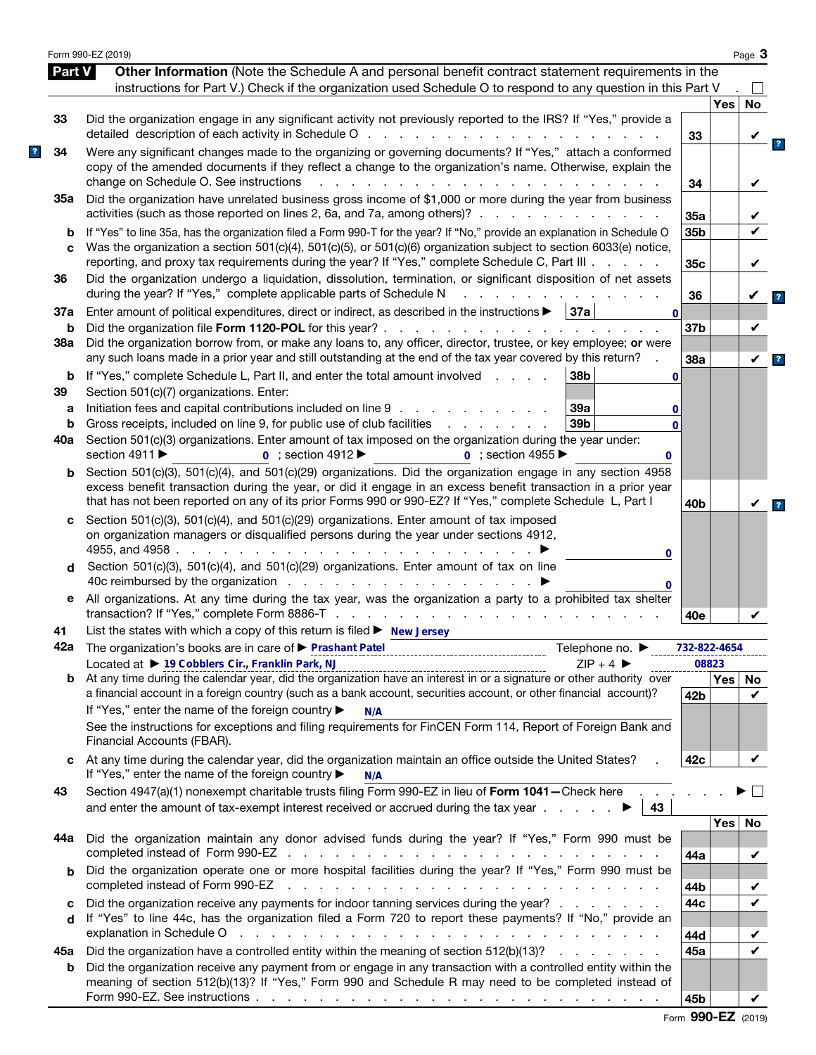|               | Form 990-EZ (2019)                                                                                                                                                                                                                                                                                                                                                                                                                                                                                      |                 |       | Page 3       |
|---------------|---------------------------------------------------------------------------------------------------------------------------------------------------------------------------------------------------------------------------------------------------------------------------------------------------------------------------------------------------------------------------------------------------------------------------------------------------------------------------------------------------------|-----------------|-------|--------------|
| <b>Part V</b> | Other Information (Note the Schedule A and personal benefit contract statement requirements in the<br>instructions for Part V.) Check if the organization used Schedule O to respond to any question in this Part V                                                                                                                                                                                                                                                                                     |                 |       |              |
|               |                                                                                                                                                                                                                                                                                                                                                                                                                                                                                                         |                 | Yes   | <b>No</b>    |
| 33            | Did the organization engage in any significant activity not previously reported to the IRS? If "Yes," provide a<br>detailed description of each activity in Schedule O                                                                                                                                                                                                                                                                                                                                  | 33              |       |              |
| 34            | Were any significant changes made to the organizing or governing documents? If "Yes," attach a conformed<br>copy of the amended documents if they reflect a change to the organization's name. Otherwise, explain the<br>change on Schedule O. See instructions<br>$\mathbf{r}$ and $\mathbf{r}$ are the set of the set of the set of the set of the set of the set of the set of the set of the set of the set of the set of the set of the set of the set of the set of the set of the set of the set | 34              |       |              |
| 35а           | Did the organization have unrelated business gross income of \$1,000 or more during the year from business<br>activities (such as those reported on lines 2, 6a, and 7a, among others)?                                                                                                                                                                                                                                                                                                                 | 35a             |       |              |
| b<br>C        | If "Yes" to line 35a, has the organization filed a Form 990-T for the year? If "No," provide an explanation in Schedule O<br>Was the organization a section 501(c)(4), 501(c)(5), or 501(c)(6) organization subject to section 6033(e) notice,                                                                                                                                                                                                                                                          | 35b             |       |              |
| 36            | reporting, and proxy tax requirements during the year? If "Yes," complete Schedule C, Part III<br>Did the organization undergo a liquidation, dissolution, termination, or significant disposition of net assets<br>during the year? If "Yes," complete applicable parts of Schedule N                                                                                                                                                                                                                  | 35c             |       | V            |
| 37a           | Enter amount of political expenditures, direct or indirect, as described in the instructions $\blacktriangleright$   37a  <br>$\bf{0}$                                                                                                                                                                                                                                                                                                                                                                  | 36              |       | V            |
| b<br>38a      | Did the organization file Form 1120-POL for this year?.<br>and a series of the contract of the contract<br>Did the organization borrow from, or make any loans to, any officer, director, trustee, or key employee; or were<br>any such loans made in a prior year and still outstanding at the end of the tax year covered by this return?                                                                                                                                                             | 37 <sub>b</sub> |       | V            |
| b<br>39       | If "Yes," complete Schedule L, Part II, and enter the total amount involved<br>38b<br>0<br>Section 501(c)(7) organizations. Enter:                                                                                                                                                                                                                                                                                                                                                                      | 38a             |       | $\checkmark$ |
| а<br>b        | Initiation fees and capital contributions included on line 9<br>39a<br>0<br>39b<br>Gross receipts, included on line 9, for public use of club facilities<br>and a state of the state of the<br>$\bf{0}$                                                                                                                                                                                                                                                                                                 |                 |       |              |
| 40a           | Section 501(c)(3) organizations. Enter amount of tax imposed on the organization during the year under:<br>section 4911 ▶<br>$0$ ; section 4912<br>$0$ ; section 4955<br>0                                                                                                                                                                                                                                                                                                                              |                 |       |              |
| b             | Section 501(c)(3), 501(c)(4), and 501(c)(29) organizations. Did the organization engage in any section 4958<br>excess benefit transaction during the year, or did it engage in an excess benefit transaction in a prior year<br>that has not been reported on any of its prior Forms 990 or 990-EZ? If "Yes," complete Schedule L, Part I                                                                                                                                                               | 40b             |       |              |
| c             | Section 501(c)(3), 501(c)(4), and 501(c)(29) organizations. Enter amount of tax imposed<br>on organization managers or disqualified persons during the year under sections 4912,<br>4955, and 4958.<br>and a state of the state of the<br>0                                                                                                                                                                                                                                                             |                 |       |              |
| d             | Section 501(c)(3), 501(c)(4), and 501(c)(29) organizations. Enter amount of tax on line<br>0                                                                                                                                                                                                                                                                                                                                                                                                            |                 |       |              |
| е             | All organizations. At any time during the tax year, was the organization a party to a prohibited tax shelter<br>transaction? If "Yes," complete Form 8886-T<br>and the company of the company of the company of                                                                                                                                                                                                                                                                                         | 40e             |       |              |
| 41            | List the states with which a copy of this return is filed $\blacktriangleright$ New Jersey                                                                                                                                                                                                                                                                                                                                                                                                              |                 |       |              |
|               | 42a The organization's books are in care of ▶ Prashant Patel<br>Telephone no. $\blacktriangleright$                                                                                                                                                                                                                                                                                                                                                                                                     | 732-822-4654    |       |              |
|               | Located at > 19 Cobblers Cir., Franklin Park, NJ<br>$ZIP + 4$<br>Located at $\triangleright$ 19 Cobbiers Cir., Franklin Park, NJ<br>At any time during the calendar year, did the organization have an interest in or a signature or other authority over                                                                                                                                                                                                                                               |                 | 08823 |              |
| b             | a financial account in a foreign country (such as a bank account, securities account, or other financial account)?<br>If "Yes," enter the name of the foreign country ▶<br>N/A                                                                                                                                                                                                                                                                                                                          | 42 <sub>b</sub> | Yes   | No<br>V      |
|               | See the instructions for exceptions and filing requirements for FinCEN Form 114, Report of Foreign Bank and<br>Financial Accounts (FBAR).                                                                                                                                                                                                                                                                                                                                                               |                 |       |              |
| C             | At any time during the calendar year, did the organization maintain an office outside the United States?<br>If "Yes," enter the name of the foreign country ▶<br>N/A                                                                                                                                                                                                                                                                                                                                    | 42c             |       | V            |
| 43            | Section 4947(a)(1) nonexempt charitable trusts filing Form 990-EZ in lieu of Form 1041 - Check here<br>43                                                                                                                                                                                                                                                                                                                                                                                               |                 |       |              |
| 44а           | Did the organization maintain any donor advised funds during the year? If "Yes," Form 990 must be                                                                                                                                                                                                                                                                                                                                                                                                       | 44a             | Yes   | No<br>V      |
| b             | Did the organization operate one or more hospital facilities during the year? If "Yes," Form 990 must be<br>completed instead of Form 990-EZ<br>the contract of the contract of the contract of the contract of the contract of                                                                                                                                                                                                                                                                         | 44b             |       |              |
| c<br>d        | Did the organization receive any payments for indoor tanning services during the year?<br>If "Yes" to line 44c, has the organization filed a Form 720 to report these payments? If "No," provide an                                                                                                                                                                                                                                                                                                     | 44c             |       |              |
| 45а           | explanation in Schedule O response to the contract of the contract of the contract of the contract of the contract of the contract of the contract of the contract of the contract of the contract of the contract of the cont<br>Did the organization have a controlled entity within the meaning of section 512(b)(13)?                                                                                                                                                                               | 44d<br>45a      |       | ✔            |
| b             | Did the organization receive any payment from or engage in any transaction with a controlled entity within the<br>meaning of section 512(b)(13)? If "Yes," Form 990 and Schedule R may need to be completed instead of                                                                                                                                                                                                                                                                                  |                 |       |              |
|               |                                                                                                                                                                                                                                                                                                                                                                                                                                                                                                         | 45b             |       | V            |